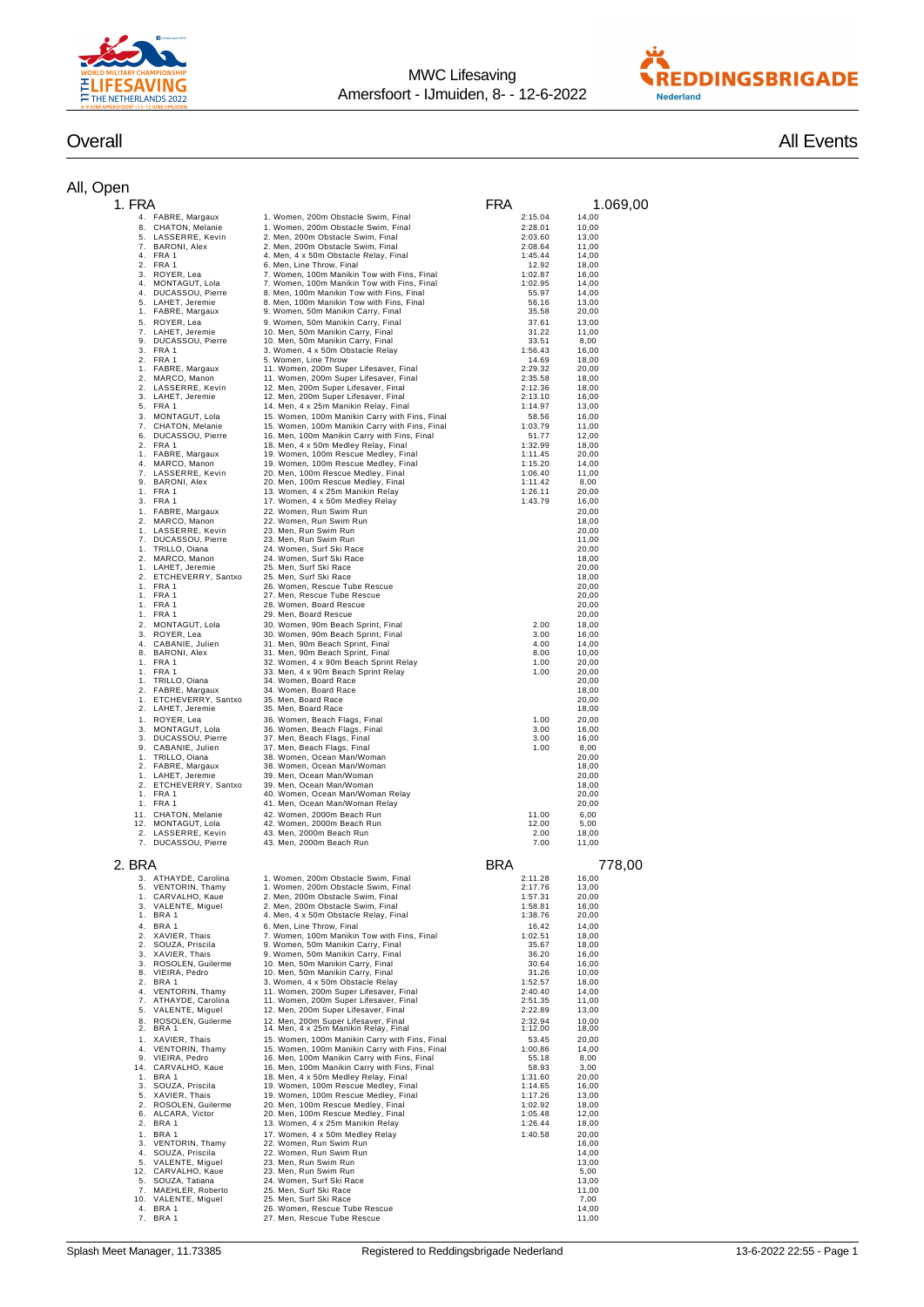



## All, O

| Overall | <b>All Events</b> |
|---------|-------------------|
|         |                   |

| Open                                             |                                                                                            |                    |                |
|--------------------------------------------------|--------------------------------------------------------------------------------------------|--------------------|----------------|
| 1. FRA                                           |                                                                                            | <b>FRA</b>         | 1.069,00       |
| 4. FABRE, Margaux                                | 1. Women, 200m Obstacle Swim, Final                                                        | 2:15.04            | 14,00          |
| CHATON, Melanie<br>8.                            | 1. Women, 200m Obstacle Swim, Final                                                        | 2:28.01            | 10,00          |
| LASSERRE, Kevin<br>5.<br>7.<br>BARONI, Alex      | 2. Men, 200m Obstacle Swim, Final<br>2. Men, 200m Obstacle Swim, Final                     | 2:03.60<br>2:08.64 | 13,00<br>11,00 |
| 4.<br>FRA 1                                      | 4. Men, 4 x 50m Obstacle Relay, Final                                                      | 1:45.44            | 14,00          |
| 2.<br>FRA 1                                      | 6. Men, Line Throw, Final                                                                  | 12.92              | 18,00          |
| 3.<br>ROYER, Lea<br>MONTAGUT, Lola<br>4.         | 7. Women, 100m Manikin Tow with Fins, Final<br>7. Women, 100m Manikin Tow with Fins, Final | 1:02.87<br>1:02.95 | 16,00<br>14,00 |
| 4.<br>DUCASSOU, Pierre                           | 8. Men, 100m Manikin Tow with Fins, Final                                                  | 55.97              | 14,00          |
| LAHET, Jeremie<br>5.                             | 8. Men, 100m Manikin Tow with Fins, Final                                                  | 56.16              | 13,00          |
| 1. FABRE, Margaux                                | 9. Women, 50m Manikin Carry, Final                                                         | 35.58              | 20,00          |
| 5. ROYER, Lea<br>7. LAHET, Jeremie               | 9. Women, 50m Manikin Carry, Final<br>10. Men, 50m Manikin Carry, Final                    | 37.61<br>31.22     | 13,00<br>11,00 |
| 9. DUCASSOU, Pierre                              | 10. Men, 50m Manikin Carry, Final                                                          | 33.51              | 8,00           |
| 3. FRA 1                                         | 3. Women, 4 x 50m Obstacle Relay                                                           | 1:56.43            | 16,00          |
| 2. FRA 1<br>1. FABRE, Margaux                    | 5. Women, Line Throw<br>11. Women, 200m Super Lifesaver, Final                             | 14.69<br>2:29.32   | 18,00<br>20,00 |
| 2. MARCO, Manon                                  | 11. Women, 200m Super Lifesaver, Final                                                     | 2:35.58            | 18,00          |
| 2. LASSERRE, Kevin                               | 12. Men, 200m Super Lifesaver, Final                                                       | 2:12.36            | 18,00          |
| 3. LAHET, Jeremie<br>5. FRA 1                    | 12. Men, 200m Super Lifesaver, Final<br>14. Men, 4 x 25m Manikin Relay, Final              | 2:13.10<br>1:14.97 | 16,00<br>13,00 |
| MONTAGUT, Lola<br>3.                             | 15. Women, 100m Manikin Carry with Fins, Final                                             | 58.56              | 16,00          |
| CHATON, Melanie<br>7 <sup>1</sup>                | 15. Women, 100m Manikin Carry with Fins, Final                                             | 1:03.79            | 11,00          |
| 6. DUCASSOU, Pierre                              | 16. Men, 100m Manikin Carry with Fins, Final                                               | 51.77              | 12,00          |
| 2. FRA 1<br>1. FABRE, Margaux                    | 18. Men, 4 x 50m Medley Relay, Final<br>19. Women, 100m Rescue Medley, Final               | 1:32.99<br>1:11.45 | 18,00<br>20,00 |
| 4. MARCO, Manon                                  | 19. Women, 100m Rescue Medley, Final                                                       | 1:15.20            | 14,00          |
| 7. LASSERRE, Kevin                               | 20. Men, 100m Rescue Medley, Final                                                         | 1:06.40            | 11,00          |
| 9. BARONI, Alex<br>1. FRA 1                      | 20. Men, 100m Rescue Medley, Final<br>13. Women, 4 x 25m Manikin Relay                     | 1:11.42<br>1:26.11 | 8,00<br>20,00  |
| 3. FRA 1                                         | 17. Women, 4 x 50m Medley Relay                                                            | 1:43.79            | 16,00          |
| FABRE, Margaux<br>1.                             | 22. Women, Run Swim Run                                                                    |                    | 20,00          |
| 2.<br>MARCO, Manon<br>LASSERRE, Kevin            | 22. Women, Run Swim Run                                                                    |                    | 18,00<br>20,00 |
| 1.<br>7.<br>DUCASSOU, Pierre                     | 23. Men, Run Swim Run<br>23. Men, Run Swim Run                                             |                    | 11,00          |
| TRILLO, Oiana<br>1.                              | 24. Women, Surf Ski Race                                                                   |                    | 20,00          |
| 2.<br>MARCO, Manon                               | 24. Women, Surf Ski Race                                                                   |                    | 18,00          |
| LAHET, Jeremie<br>1.<br>2.<br>ETCHEVERRY, Santxo | 25. Men, Surf Ski Race<br>25. Men, Surf Ski Race                                           |                    | 20,00<br>18,00 |
| FRA 1<br>1.                                      | 26. Women, Rescue Tube Rescue                                                              |                    | 20,00          |
| FRA 1<br>1.                                      | 27. Men, Rescue Tube Rescue                                                                |                    | 20,00          |
| FRA 1<br>1.<br>FRA 1<br>1.                       | 28. Women, Board Rescue<br>29. Men, Board Rescue                                           |                    | 20,00<br>20,00 |
| 2. MONTAGUT, Lola                                | 30. Women, 90m Beach Sprint, Final                                                         | 2.00               | 18,00          |
| 3. ROYER, Lea                                    | 30. Women, 90m Beach Sprint, Final                                                         | 3.00               | 16,00          |
| 4. CABANIE, Julien                               | 31. Men, 90m Beach Sprint, Final                                                           | 4.00               | 14,00          |
| 8. BARONI, Alex<br>1. FRA 1                      | 31. Men, 90m Beach Sprint, Final<br>32. Women, 4 x 90m Beach Sprint Relay                  | 8.00<br>1.00       | 10,00<br>20,00 |
| 1. FRA 1                                         | 33. Men, 4 x 90m Beach Sprint Relay                                                        | 1.00               | 20,00          |
| 1. TRILLO, Oiana                                 | 34. Women, Board Race                                                                      |                    | 20,00          |
| 2. FABRE, Margaux<br>1. ETCHEVERRY, Santxo       | 34. Women, Board Race<br>35. Men, Board Race                                               |                    | 18,00<br>20,00 |
| 2. LAHET, Jeremie                                | 35. Men, Board Race                                                                        |                    | 18,00          |
| 1. ROYER, Lea                                    | 36. Women, Beach Flags, Final                                                              | 1.00               | 20,00          |
| MONTAGUT, Lola<br>3.                             | 36. Women, Beach Flags, Final                                                              | 3.00               | 16,00          |
| 3. DUCASSOU, Pierre<br>CABANIE, Julien<br>9.     | 37. Men, Beach Flags, Final<br>37. Men, Beach Flags, Final                                 | 3.00<br>1.00       | 16,00<br>8,00  |
| 1. TRILLO, Oiana                                 | 38. Women, Ocean Man/Woman                                                                 |                    | 20,00          |
| 2. FABRE, Margaux                                | 38. Women, Ocean Man/Woman                                                                 |                    | 18,00          |
| 1. LAHET, Jeremie<br>2. ETCHEVERRY, Santxo       | 39. Men, Ocean Man/Woman<br>39. Men, Ocean Man/Woman                                       |                    | 20,00<br>18,00 |
| 1. FRA 1                                         | 40. Women, Ocean Man/Woman Relay                                                           |                    | 20,00          |
| 1. FRA 1                                         | 41. Men, Ocean Man/Woman Relay                                                             |                    | 20,00          |
| CHATON, Melanie<br>11.                           | 42. Women, 2000m Beach Run                                                                 | 11.00              | 6,00           |
| MONTAGUT, Lola<br>12.<br>LASSERRE, Kevin<br>2.   | 42. Women, 2000m Beach Run<br>43. Men, 2000m Beach Run                                     | 12.00<br>2.00      | 5,00<br>18,00  |
| 7. DUCASSOU, Pierre                              | 43. Men, 2000m Beach Run                                                                   | 7.00               | 11,00          |
|                                                  |                                                                                            |                    |                |
| 2. BRA                                           |                                                                                            | BRA                | 778,00         |
| 3. ATHAYDE, Carolina                             | 1. Women. 200m Obstacle Swim. Final                                                        | 2.1128             | 16.00          |
| 5. VENTORIN, Thamy                               | 1. Women, 200m Obstacle Swim, Final                                                        | 2:17.76<br>1:57.31 | 13,00          |
| 1. CARVALHO, Kaue<br>VALENTE, Miguel<br>3.       | 2. Men, 200m Obstacle Swim, Final<br>2. Men, 200m Obstacle Swim, Final                     | 1:58.81            | 20,00<br>16,00 |
| 1. BRA 1                                         | 4. Men, 4 x 50m Obstacle Relay, Final                                                      | 1:38.76            | 20,00          |
| 4.<br>BRA 1                                      | 6. Men, Line Throw, Final                                                                  | 16.42              | 14,00          |
| XAVIER, Thais<br>2.<br>SOUZA, Priscila<br>2.     | 7. Women, 100m Manikin Tow with Fins, Final<br>9. Women, 50m Manikin Carry, Final          | 1:02.51<br>35.67   | 18,00<br>18,00 |
| XAVIER, Thais<br>3.                              | 9. Women, 50m Manikin Carry, Final                                                         | 36.20              | 16,00          |
| ROSOLEN, Guilerme<br>3.                          | 10. Men, 50m Manikin Carry, Final                                                          | 30.64              | 16,00          |
| VIEIRA, Pedro<br>8.                              | 10. Men, 50m Manikin Carry, Final                                                          | 31.26              | 10,00          |
| BRA 1<br>2.<br>VENTORIN, Thamy<br>4.             | 3. Women, 4 x 50m Obstacle Relay<br>11. Women, 200m Super Lifesaver, Final                 | 1:52.57<br>2:40.40 | 18,00<br>14,00 |
| ATHAYDE, Carolina<br>7.                          | 11. Women, 200m Super Lifesaver, Final                                                     | 2:51.35            | 11,00          |
| VALENTE, Miguel<br>5.                            | 12. Men, 200m Super Lifesaver, Final                                                       | 2:22.89            | 13,00          |
| ROSOLEN, Guilerme<br>8.<br>2.<br>BRA 1           | 12. Men. 200m Super Lifesaver, Final<br>14. Men, 4 x 25m Manikin Relay, Final              | 2:32.94<br>1:12.00 | 10,00<br>18,00 |
| 1. XAVIER, Thais                                 | 15. Women, 100m Manikin Carry with Fins, Final                                             | 53.45              | 20,00          |
| 4. VENTORIN, Thamy                               | 15. Women, 100m Manikin Carry with Fins, Final                                             | 1:00.86            | 14,00          |
| 9. VIEIRA, Pedro                                 | 16. Men, 100m Manikin Carry with Fins, Final                                               | 55.18              | 8,00           |
| 14. CARVALHO, Kaue<br>1. BRA 1                   | 16. Men, 100m Manikin Carry with Fins, Final<br>18. Men, 4 x 50m Medley Relay, Final       | 58.93<br>1:31.60   | 3,00<br>20,00  |
| 3. SOUZA, Priscila                               | 19. Women, 100m Rescue Medley, Final                                                       | 1:14.65            | 16,00          |
| 5. XAVIER, Thais                                 | 19. Women, 100m Rescue Medley, Final                                                       | 1:17.26            | 13,00          |
| 2. ROSOLEN, Guilerme<br>6. ALCARA, Victor        | 20. Men, 100m Rescue Medley, Final<br>20. Men, 100m Rescue Medley, Final                   | 1:02.92<br>1:05.48 | 18,00<br>12,00 |
| 2. BRA 1                                         | 13. Women, 4 x 25m Manikin Relay                                                           | 1:26.44            | 18,00          |
| 1. BRA 1                                         | 17. Women, 4 x 50m Medley Relay                                                            | 1:40.58            | 20,00          |
| 3. VENTORIN, Thamy                               | 22. Women, Run Swim Run<br>22. Women, Run Swim Run                                         |                    | 16,00          |
| 4. SOUZA, Priscila<br>5. VALENTE, Miguel         | 23. Men, Run Swim Run                                                                      |                    | 14,00<br>13,00 |
| 12. CARVALHO, Kaue                               | 23. Men, Run Swim Run                                                                      |                    | 5,00           |
| 5. SOUZA, Tatiana                                | 24. Women, Surf Ski Race                                                                   |                    | 13,00          |
| 7. MAEHLER, Roberto<br>10. VALENTE, Miguel       | 25. Men, Surf Ski Race<br>25. Men, Surf Ski Race                                           |                    | 11,00<br>7,00  |
| 4. BRA 1                                         | 26. Women, Rescue Tube Rescue                                                              |                    | 14,00          |
| 7. BRA 1                                         | 27. Men, Rescue Tube Rescue                                                                |                    | 11,00          |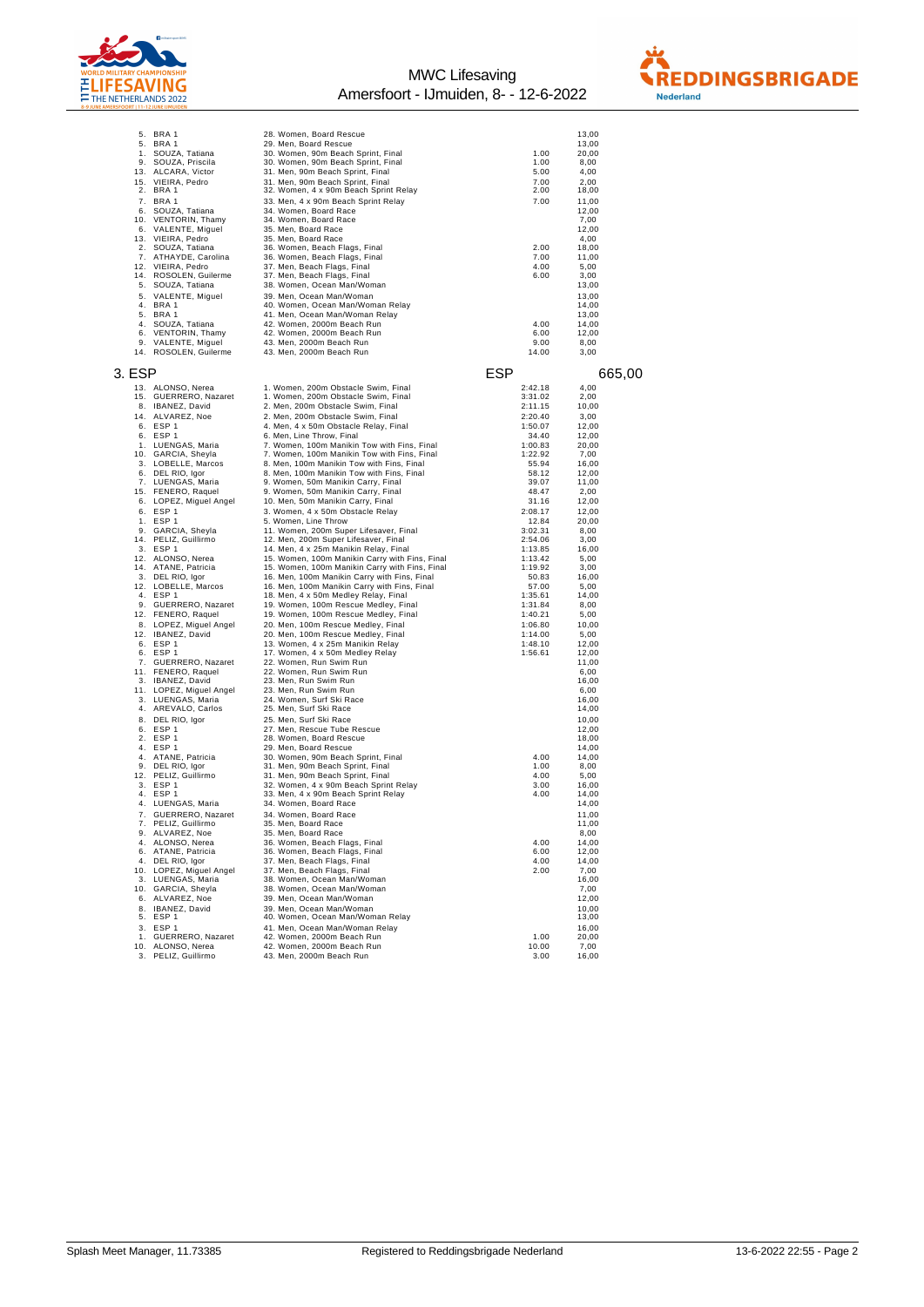



|        | 5. BRA 1                | 28. Women, Board Rescue                                |         | 13,00  |
|--------|-------------------------|--------------------------------------------------------|---------|--------|
|        | 5. BRA 1                | 29. Men, Board Rescue                                  |         | 13,00  |
|        | 1. SOUZA, Tatiana       | 30. Women, 90m Beach Sprint, Final                     | 1.00    | 20,00  |
| 9.     | SOUZA, Priscila         | 30. Women, 90m Beach Sprint, Final                     | 1.00    | 8,00   |
| 13.    | ALCARA, Victor          | 31. Men, 90m Beach Sprint, Final                       | 5.00    | 4,00   |
|        | 15. VIEIRA, Pedro       | 31. Men, 90m Beach Sprint, Final                       | 7.00    | 2,00   |
|        | 2. BRA 1                | 32. Women, 4 x 90m Beach Sprint Relay                  | 2.00    | 18,00  |
|        | 7. BRA 1                | 33. Men, 4 x 90m Beach Sprint Relay                    | 7.00    | 11,00  |
|        | 6. SOUZA, Tatiana       | 34. Women, Board Race                                  |         | 12,00  |
|        |                         |                                                        |         |        |
|        | 10. VENTORIN, Thamy     | 34. Women, Board Race                                  |         | 7,00   |
|        | 6. VALENTE, Miguel      | 35. Men. Board Race                                    |         | 12,00  |
|        | 13. VIEIRA, Pedro       | 35. Men, Board Race                                    |         | 4,00   |
|        | 2. SOUZA, Tatiana       | 36. Women, Beach Flags, Final                          | 2.00    | 18,00  |
|        | 7. ATHAYDE, Carolina    | 36. Women, Beach Flags, Final                          | 7.00    | 11,00  |
|        | 12. VIEIRA, Pedro       | 37. Men, Beach Flags, Final                            | 4.00    | 5,00   |
|        | 14. ROSOLEN, Guilerme   | 37. Men, Beach Flags, Final                            | 6.00    | 3,00   |
| 5.     | SOUZA, Tatiana          | 38. Women, Ocean Man/Woman                             |         | 13,00  |
| 5.     | VALENTE, Miguel         | 39. Men, Ocean Man/Woman                               |         | 13,00  |
|        | 4. BRA 1                | 40. Women, Ocean Man/Woman Relay                       |         | 14,00  |
| 5.     | BRA 1                   | 41. Men, Ocean Man/Woman Relay                         |         | 13,00  |
| 4.     | SOUZA, Tatiana          | 42. Women, 2000m Beach Run                             | 4.00    | 14,00  |
| 6.     | VENTORIN, Thamy         |                                                        | 6.00    |        |
|        |                         | 42. Women, 2000m Beach Run<br>43. Men, 2000m Beach Run |         | 12,00  |
| 9.     | VALENTE, Miguel         |                                                        | 9.00    | 8,00   |
|        | 14. ROSOLEN, Guilerme   | 43. Men, 2000m Beach Run                               | 14.00   | 3,00   |
|        |                         |                                                        |         |        |
| 3. ESP |                         |                                                        | ESP     | 665,00 |
|        | 13. ALONSO, Nerea       | 1. Women, 200m Obstacle Swim, Final                    | 2:42.18 | 4,00   |
|        | 15. GUERRERO, Nazaret   | 1. Women, 200m Obstacle Swim, Final                    | 3:31.02 | 2,00   |
| 8.     |                         |                                                        |         |        |
|        | IBANEZ, David           | 2. Men, 200m Obstacle Swim, Final                      | 2:11.15 | 10,00  |
|        | 14. ALVAREZ, Noe        | 2. Men, 200m Obstacle Swim, Final                      | 2:20.40 | 3,00   |
|        | 6. ESP 1                | 4. Men, 4 x 50m Obstacle Relay, Final                  | 1:50.07 | 12,00  |
|        | 6. ESP 1                | 6. Men, Line Throw, Final                              | 34.40   | 12,00  |
|        | 1. LUENGAS, Maria       | 7. Women, 100m Manikin Tow with Fins, Final            | 1:00.83 | 20,00  |
|        | 10. GARCIA, Sheyla      | 7. Women, 100m Manikin Tow with Fins, Final            | 1:22.92 | 7,00   |
|        | 3. LOBELLE, Marcos      | 8. Men, 100m Manikin Tow with Fins, Final              | 55.94   | 16,00  |
|        | 6. DEL RIO, Igor        | 8. Men, 100m Manikin Tow with Fins, Final              | 58.12   | 12,00  |
| 7.     | LUENGAS, Maria          | 9. Women, 50m Manikin Carry, Final                     | 39.07   | 11,00  |
|        | 15. FENERO, Raquel      | 9. Women, 50m Manikin Carry, Final                     | 48.47   | 2,00   |
|        | 6. LOPEZ, Miguel Angel  | 10. Men, 50m Manikin Carry, Final                      | 31.16   | 12,00  |
|        |                         |                                                        | 2:08.17 |        |
|        | 6. ESP 1                | 3. Women, 4 x 50m Obstacle Relay                       |         | 12,00  |
|        | 1. ESP 1                | 5. Women, Line Throw                                   | 12.84   | 20,00  |
|        | 9. GARCIA, Sheyla       | 11. Women, 200m Super Lifesaver, Final                 | 3:02.31 | 8,00   |
|        | 14. PELIZ, Guillirmo    | 12. Men, 200m Super Lifesaver, Final                   | 2:54.06 | 3,00   |
|        | 3. ESP 1                | 14. Men, 4 x 25m Manikin Relay, Final                  | 1:13.85 | 16,00  |
|        | 12. ALONSO, Nerea       | 15. Women, 100m Manikin Carry with Fins, Final         | 1:13.42 | 5,00   |
|        | 14. ATANE, Patricia     | 15. Women, 100m Manikin Carry with Fins, Final         | 1:19.92 | 3,00   |
|        | 3. DEL RIO, Igor        | 16. Men, 100m Manikin Carry with Fins, Final           | 50.83   | 16,00  |
|        | 12. LOBELLE, Marcos     | 16. Men, 100m Manikin Carry with Fins, Final           | 57.00   | 5,00   |
|        | 4. ESP 1                | 18. Men, 4 x 50m Medley Relay, Final                   | 1:35.61 | 14,00  |
|        | 9. GUERRERO, Nazaret    | 19. Women, 100m Rescue Medley, Final                   | 1:31.84 | 8,00   |
|        | 12. FENERO, Raquel      | 19. Women, 100m Rescue Medley, Final                   | 1:40.21 | 5,00   |
|        |                         |                                                        | 1:06.80 | 10,00  |
|        | 8. LOPEZ, Miguel Angel  | 20. Men, 100m Rescue Medley, Final                     |         |        |
|        | 12. IBANEZ, David       | 20. Men, 100m Rescue Medley, Final                     | 1:14.00 | 5,00   |
|        | 6. ESP 1                | 13. Women, 4 x 25m Manikin Relay                       | 1:48.10 | 12,00  |
|        | 6. ESP 1                | 17. Women, 4 x 50m Medley Relay                        | 1:56.61 | 12,00  |
|        | 7. GUERRERO, Nazaret    | 22. Women, Run Swim Run                                |         | 11,00  |
|        | 11. FENERO, Raquel      | 22. Women, Run Swim Run                                |         | 6,00   |
|        | 3. IBANEZ, David        | 23. Men, Run Swim Run                                  |         | 16,00  |
|        | 11. LOPEZ, Miguel Angel | 23. Men, Run Swim Run                                  |         | 6,00   |
|        | 3. LUENGAS, Maria       | 24. Women, Surf Ski Race                               |         | 16,00  |
|        | 4. AREVALO, Carlos      | 25. Men, Surf Ski Race                                 |         | 14,00  |
| 8.     | DEL RIO, Igor           | 25. Men, Surf Ski Race                                 |         | 10,00  |
|        | 6. ESP 1                | 27. Men, Rescue Tube Rescue                            |         | 12,00  |
|        | 2. ESP 1                | 28. Women, Board Rescue                                |         | 18,00  |
|        | 4. ESP 1                | 29. Men, Board Rescue                                  |         | 14,00  |
| 4.     | ATANE, Patricia         | 30. Women, 90m Beach Sprint, Final                     | 4.00    | 14,00  |
|        | 9. DEL RIO, Igor        | 31. Men, 90m Beach Sprint, Final                       | 1.00    | 8,00   |
|        | 12. PELIZ, Guillirmo    | 31. Men, 90m Beach Sprint, Final                       | 4.00    | 5,00   |
|        | 3. ESP 1                | 32. Women, 4 x 90m Beach Sprint Relay                  | 3.00    | 16,00  |
| 4.     | ESP <sub>1</sub>        | 33. Men, 4 x 90m Beach Sprint Relay                    | 4.00    | 14,00  |
| 4.     | LUENGAS, Maria          | 34. Women, Board Race                                  |         | 14,00  |
|        |                         |                                                        |         |        |
| 7.     | GUERRERO, Nazaret       | 34. Women, Board Race                                  |         | 11,00  |
|        | 7. PELIZ, Guillirmo     | 35. Men, Board Race                                    |         | 11,00  |
|        | 9. ALVAREZ, Noe         | 35. Men, Board Race                                    |         | 8,00   |
|        | 4. ALONSO, Nerea        | 36. Women, Beach Flags, Final                          | 4.00    | 14,00  |
|        | 6. ATANE, Patricia      | 36. Women, Beach Flags, Final                          | 6.00    | 12,00  |
|        | 4. DEL RIO, Igor        | 37. Men, Beach Flags, Final                            | 4.00    | 14,00  |
|        | 10. LOPEZ, Miguel Angel | 37. Men, Beach Flags, Final                            | 2.00    | 7,00   |
|        | 3. LUENGAS, Maria       | 38. Women, Ocean Man/Woman                             |         | 16,00  |
|        | 10. GARCIA, Sheyla      | 38. Women, Ocean Man/Woman                             |         | 7,00   |
|        | 6. ALVAREZ, Noe         | 39. Men, Ocean Man/Woman                               |         | 12,00  |
|        | 8. IBANEZ, David        | 39. Men, Ocean Man/Woman                               |         | 10.00  |
|        | 5. ESP 1                | 40. Women, Ocean Man/Woman Relay                       |         | 13,00  |
|        | 3. ESP 1                | 41. Men, Ocean Man/Woman Relay                         |         | 16,00  |
|        | 1. GUERRERO, Nazaret    | 42. Women, 2000m Beach Run                             | 1.00    | 20,00  |
|        | 10. ALONSO, Nerea       | 42. Women, 2000m Beach Run                             | 10.00   | 7,00   |
|        | 3. PELIZ, Guillirmo     | 43. Men, 2000m Beach Run                               | 3.00    | 16,00  |
|        |                         |                                                        |         |        |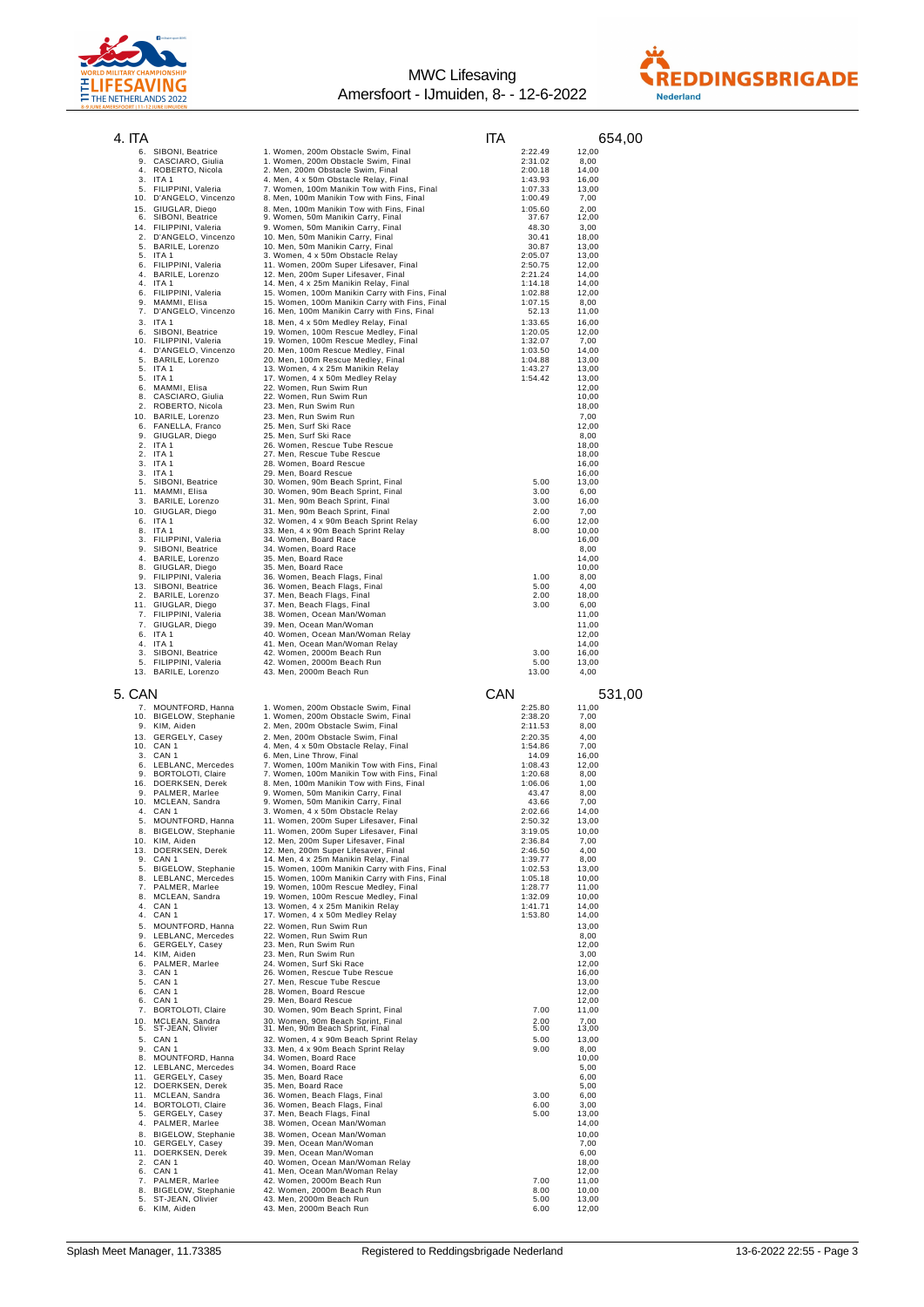



| 4. ITA   |                                                            |                                                                                                | IТA                  | 654,00                  |
|----------|------------------------------------------------------------|------------------------------------------------------------------------------------------------|----------------------|-------------------------|
|          | 6. SIBONI, Beatrice                                        | 1. Women, 200m Obstacle Swim, Final                                                            | 2:22.49              | 12.00                   |
|          | 9. CASCIARO, Giulia<br>4. ROBERTO, Nicola                  | 1. Women, 200m Obstacle Swim, Final<br>2. Men, 200m Obstacle Swim, Final                       | 2:31.02<br>2:00.18   | 8,00<br>14,00           |
|          | 3. ITA 1                                                   | 4. Men, 4 x 50m Obstacle Relay, Final                                                          | 1:43.93              | 16,00                   |
|          | 5. FILIPPINI, Valeria<br>10. D'ANGELO, Vincenzo            | 7. Women, 100m Manikin Tow with Fins, Final<br>8. Men, 100m Manikin Tow with Fins, Final       | 1:07.33<br>1:00.49   | 13,00<br>7,00           |
| 15.      | GIUGLAR, Diego<br>6. SIBONI, Beatrice                      | 8. Men, 100m Manikin Tow with Fins, Final<br>9. Women, 50m Manikin Carry, Final                | 1:05.60<br>37.67     | 2,00<br>12,00           |
| 14.      | FILIPPINI, Valeria                                         | 9. Women, 50m Manikin Carry, Final                                                             | 48.30                | 3,00                    |
| 2.<br>5. | D'ANGELO, Vincenzo<br>BARILE, Lorenzo                      | 10. Men, 50m Manikin Carry, Final<br>10. Men, 50m Manikin Carry, Final                         | 30.41<br>30.87       | 18,00<br>13,00          |
| 5.       | ITA 1                                                      | 3. Women, 4 x 50m Obstacle Relay                                                               | 2:05.07              | 13,00                   |
| 6.<br>4. | FILIPPINI, Valeria<br>BARILE, Lorenzo                      | 11. Women, 200m Super Lifesaver, Final<br>12. Men, 200m Super Lifesaver, Final                 | 2:50.75<br>2:21.24   | 12,00<br>14,00          |
| 4.<br>6. | ITA 1<br>FILIPPINI, Valeria                                | 14. Men, 4 x 25m Manikin Relay, Final<br>15. Women, 100m Manikin Carry with Fins, Final        | 1:14.18<br>1:02.88   | 14,00<br>12,00          |
| 9.<br>7. | MAMMI, Elisa                                               | 15. Women, 100m Manikin Carry with Fins, Final<br>16. Men, 100m Manikin Carry with Fins, Final | 1:07.15<br>52.13     | 8,00                    |
|          | D'ANGELO, Vincenzo<br>3. ITA 1                             | 18. Men, 4 x 50m Medley Relay, Final                                                           | 1:33.65              | 11,00<br>16,00          |
|          | 6. SIBONI, Beatrice<br>10. FILIPPINI, Valeria              | 19. Women, 100m Rescue Medley, Final<br>19. Women, 100m Rescue Medley, Final                   | 1:20.05<br>1:32.07   | 12,00<br>7,00           |
|          | 4. D'ANGELO, Vincenzo                                      | 20. Men, 100m Rescue Medley, Final                                                             | 1:03.50              | 14,00                   |
|          | 5. BARILE, Lorenzo<br>5. ITA 1                             | 20. Men, 100m Rescue Medley, Final<br>13. Women, 4 x 25m Manikin Relay                         | 1:04.88<br>1:43.27   | 13,00<br>13,00          |
|          | 5. ITA 1<br>6. MAMMI, Elisa                                | 17. Women, 4 x 50m Medley Relay<br>22. Women, Run Swim Run                                     | 1:54.42              | 13,00<br>12,00          |
|          | 8. CASCIARO, Giulia                                        | 22. Women, Run Swim Run                                                                        |                      | 10,00                   |
|          | 2. ROBERTO, Nicola<br>10. BARILE, Lorenzo                  | 23. Men, Run Swim Run<br>23. Men, Run Swim Run                                                 |                      | 18,00<br>7,00           |
|          | 6. FANELLA, Franco<br>9. GIUGLAR, Diego                    | 25. Men, Surf Ski Race<br>25. Men, Surf Ski Race                                               |                      | 12,00<br>8,00           |
|          | 2. ITA 1                                                   | 26. Women, Rescue Tube Rescue                                                                  |                      | 18,00                   |
|          | 2. ITA 1<br>3. ITA 1                                       | 27. Men, Rescue Tube Rescue<br>28. Women, Board Rescue                                         |                      | 18,00<br>16,00          |
|          | 3. ITA 1<br>5. SIBONI, Beatrice                            | 29. Men, Board Rescue                                                                          | 5.00                 | 16,00                   |
|          | 11. MAMMI, Elisa                                           | 30. Women, 90m Beach Sprint, Final<br>30. Women, 90m Beach Sprint, Final                       | 3.00                 | 13,00<br>6,00           |
|          | 3. BARILE, Lorenzo<br>10. GIUGLAR, Diego                   | 31. Men, 90m Beach Sprint, Final<br>31. Men, 90m Beach Sprint, Final                           | 3.00<br>2.00         | 16,00<br>7,00           |
|          | 6. ITA 1                                                   | 32. Women, 4 x 90m Beach Sprint Relay                                                          | 6.00                 | 12,00                   |
| 8.<br>3. | ITA 1<br>FILIPPINI, Valeria                                | 33. Men, 4 x 90m Beach Sprint Relay<br>34. Women, Board Race                                   | 8.00                 | 10,00<br>16,00          |
| 9.<br>4. | SIBONI, Beatrice<br>BARILE, Lorenzo                        | 34. Women, Board Race<br>35. Men, Board Race                                                   |                      | 8,00<br>14,00           |
| 8.       | GIUGLAR, Diego                                             | 35. Men, Board Race                                                                            |                      | 10,00                   |
| 13.      | 9. FILIPPINI, Valeria<br>SIBONI, Beatrice                  | 36. Women, Beach Flags, Final<br>36. Women, Beach Flags, Final                                 | 1.00<br>5.00         | 8,00<br>4,00            |
|          | 2. BARILE, Lorenzo<br>11. GIUGLAR, Diego                   | 37. Men, Beach Flags, Final                                                                    | 2.00<br>3.00         | 18,00<br>6,00           |
|          | 7. FILIPPINI, Valeria                                      | 37. Men, Beach Flags, Final<br>38. Women, Ocean Man/Woman                                      |                      | 11,00                   |
|          | 7. GIUGLAR, Diego<br>6. ITA 1                              | 39. Men, Ocean Man/Woman<br>40. Women, Ocean Man/Woman Relay                                   |                      | 11,00<br>12,00          |
|          | 4. ITA 1                                                   | 41. Men, Ocean Man/Woman Relay                                                                 |                      | 14,00                   |
|          | 3. SIBONI, Beatrice<br>5. FILIPPINI, Valeria               | 42. Women, 2000m Beach Run<br>42. Women, 2000m Beach Run                                       | 3.00<br>5.00         | 16,00<br>13,00          |
|          | 13. BARILE, Lorenzo                                        | 43. Men, 2000m Beach Run                                                                       | 13.00                | 4,00                    |
| 5. CAN   |                                                            |                                                                                                | CAN                  | 531,00                  |
| 10.      | 7. MOUNTFORD, Hanna<br><b>BIGELOW, Stephanie</b>           | 1. Women, 200m Obstacle Swim, Final<br>1. Women, 200m Obstacle Swim, Final                     | 2:25.80<br>2:38.20   | 11,00<br>7,00           |
|          | 9. KIM, Aiden                                              | 2. Men, 200m Obstacle Swim, Final                                                              | 2:11.53              | 8,00                    |
|          | 13. GERGELY, Casey<br>10. CAN 1                            | 2. Men, 200m Obstacle Swim, Final<br>4. Men, 4 x 50m Obstacle Relay, Final                     | 2:20.35<br>1:54.86   | 4,00<br>7,00            |
|          | 3. CAN 1<br>6. LEBLANC, Mercedes                           | 6. Men, Line Throw, Final<br>7. Women, 100m Manikin Tow with Fins, Final                       | 14.09<br>1:08.43     | 16,00<br>12,00          |
|          | 9. BORTOLOTI, Claire                                       | 7. Women, 100m Manikin Tow with Fins, Final                                                    | 1:20.68              | 8,00                    |
|          | 16. DOERKSEN, Derek<br>9. PALMER, Marlee                   | 8. Men, 100m Manikin Tow with Fins, Final<br>9. Women, 50m Manikin Carry, Final                | 1:06.06<br>43.47     | 1,00<br>8,00            |
|          | 10. MCLEAN, Sandra<br>4. CAN 1                             | 9. Women, 50m Manikin Carry, Final<br>3. Women, 4 x 50m Obstacle Relay                         | 43.66<br>2:02.66     | 7,00<br>14,00           |
|          | 5. MOUNTFORD, Hanna                                        | 11. Women, 200m Super Lifesaver, Final                                                         | 2:50.32              | 13,00                   |
|          | 8. BIGELOW, Stephanie<br>10. KIM, Aiden                    | 11. Women, 200m Super Lifesaver, Final<br>12. Men, 200m Super Lifesaver, Final                 | 3:19.05<br>2:36.84   | 10,00<br>7,00           |
|          | 13. DOERKSEN, Derek<br>9. CAN 1                            | 12. Men, 200m Super Lifesaver, Final<br>14. Men, 4 x 25m Manikin Relay, Final                  | 2:46.50<br>1:39.77   | 4,00                    |
|          | 5. BIGELOW, Stephanie                                      | 15. Women, 100m Manikin Carry with Fins, Final                                                 | 1:02.53              | 8,00<br>13,00           |
|          | 8. LEBLANC, Mercedes<br>7. PALMER, Marlee                  | 15. Women, 100m Manikin Carry with Fins, Final<br>19. Women, 100m Rescue Medley, Final         | 1:05.18<br>1:28.77   | 10,00<br>11,00          |
|          | 8. MCLEAN, Sandra<br>4. CAN 1                              | 19. Women, 100m Rescue Medley, Final<br>13. Women, 4 x 25m Manikin Relay                       | 1:32.09<br>1:41.71   | 10,00<br>14,00          |
|          | 4. CAN 1                                                   | 17. Women, 4 x 50m Medley Relay                                                                | 1:53.80              | 14,00                   |
|          | 5. MOUNTFORD, Hanna<br>9. LEBLANC, Mercedes                | 22. Women, Run Swim Run<br>22. Women, Run Swim Run                                             |                      | 13,00<br>8,00           |
|          | 6. GERGELY, Casey                                          | 23. Men, Run Swim Run<br>23. Men, Run Swim Run                                                 |                      | 12,00<br>3,00           |
|          | 14. KIM, Aiden<br>6. PALMER, Marlee                        | 24. Women, Surf Ski Race                                                                       |                      | 12,00                   |
|          | 3. CAN 1<br>5. CAN 1                                       | 26. Women, Rescue Tube Rescue<br>27. Men, Rescue Tube Rescue                                   |                      | 16,00<br>13,00          |
|          | 6. CAN 1<br>6. CAN 1                                       | 28. Women, Board Rescue<br>29. Men, Board Rescue                                               |                      | 12,00<br>12,00          |
|          | 7. BORTOLOTI, Claire                                       | 30. Women, 90m Beach Sprint, Final                                                             | 7.00                 | 11,00                   |
|          | 10. MCLEAN, Sandra<br>5. ST-JEAN, Olivier                  | 30. Women, 90m Beach Sprint, Final<br>31. Men, 90m Beach Sprint, Final                         | 2.00<br>5.00         | 7,00<br>13,00           |
|          | 5. CAN 1                                                   | 32. Women, 4 x 90m Beach Sprint Relay                                                          | 5.00                 | 13,00                   |
|          | 9. CAN 1<br>8. MOUNTFORD, Hanna                            | 33. Men, 4 x 90m Beach Sprint Relay<br>34. Women, Board Race                                   | 9.00                 | 8,00<br>10,00           |
|          | 12. LEBLANC, Mercedes<br>11. GERGELY, Casey                | 34. Women, Board Race<br>35. Men, Board Race                                                   |                      | 5,00<br>6,00            |
|          | 12. DOERKSEN, Derek                                        | 35. Men, Board Race                                                                            |                      | 5,00                    |
|          | 11. MCLEAN, Sandra<br>14. BORTOLOTI, Claire                | 36. Women, Beach Flags, Final<br>36. Women, Beach Flags, Final                                 | 3.00<br>6.00         | 6,00<br>3,00            |
|          |                                                            | 37. Men, Beach Flags, Final                                                                    | 5.00                 | 13,00                   |
|          | 5. GERGELY, Casey                                          |                                                                                                |                      |                         |
|          | 4. PALMER, Marlee<br>8. BIGELOW, Stephanie                 | 38. Women, Ocean Man/Woman<br>38. Women, Ocean Man/Woman                                       |                      | 14,00<br>10,00          |
|          | 10. GERGELY, Casey<br>11. DOERKSEN, Derek                  | 39. Men, Ocean Man/Woman<br>39. Men, Ocean Man/Woman                                           |                      | 7,00<br>6,00            |
|          | 2. CAN 1                                                   | 40. Women, Ocean Man/Woman Relay                                                               |                      | 18,00                   |
|          | 6. CAN 1<br>7. PALMER, Marlee                              | 41. Men, Ocean Man/Woman Relay<br>42. Women, 2000m Beach Run                                   | 7.00                 | 12,00<br>11,00          |
|          | 8. BIGELOW, Stephanie<br>5. ST-JEAN, Olivier<br>KIM, Aiden | 42. Women, 2000m Beach Run<br>43. Men, 2000m Beach Run<br>43. Men, 2000m Beach Run             | 8.00<br>5.00<br>6.00 | 10,00<br>13,00<br>12,00 |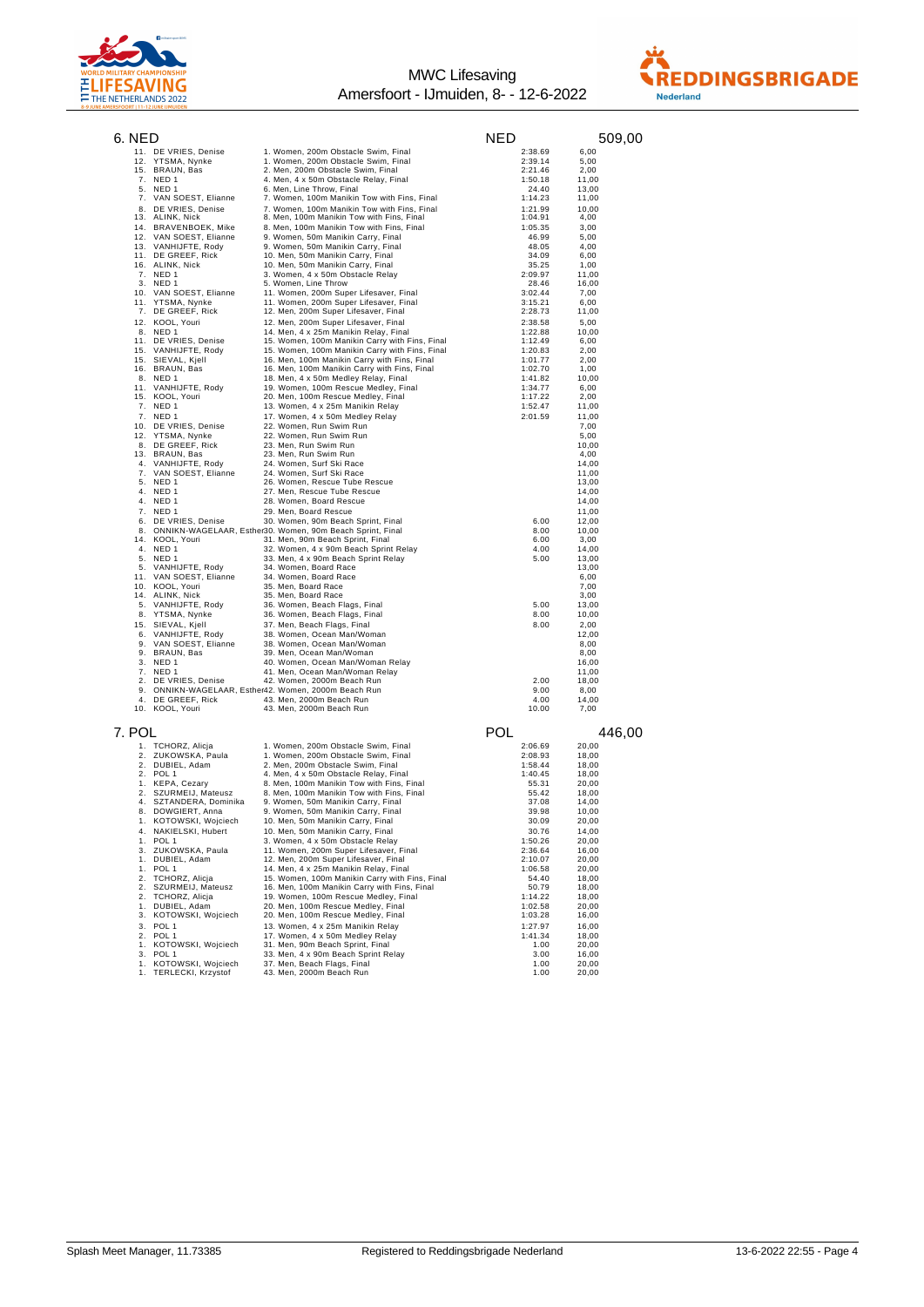



| 6. NED   |                                           |                                                                                                | NED                | 509,00         |
|----------|-------------------------------------------|------------------------------------------------------------------------------------------------|--------------------|----------------|
|          | 11. DE VRIES, Denise                      | 1. Women, 200m Obstacle Swim, Final                                                            | 2:38.69            | 6,00           |
|          | 12. YTSMA, Nynke                          | 1. Women, 200m Obstacle Swim, Final                                                            | 2:39.14            | 5,00           |
|          | 15. BRAUN, Bas                            | 2. Men, 200m Obstacle Swim, Final                                                              | 2:21.46            | 2,00           |
|          | 7. NED 1<br>5. NED 1                      | 4. Men, 4 x 50m Obstacle Relay, Final<br>6. Men, Line Throw, Final                             | 1:50.18<br>24.40   | 11,00<br>13,00 |
|          | 7. VAN SOEST, Elianne                     | 7. Women, 100m Manikin Tow with Fins, Final                                                    | 1:14.23            | 11,00          |
|          | 8. DE VRIES, Denise                       | 7. Women, 100m Manikin Tow with Fins, Final                                                    | 1:21.99            | 10,00          |
|          | 13. ALINK, Nick                           | 8. Men, 100m Manikin Tow with Fins, Final                                                      | 1:04.91            | 4,00           |
|          | 14. BRAVENBOEK, Mike                      | 8. Men, 100m Manikin Tow with Fins, Final                                                      | 1:05.35            | 3,00           |
|          | 12. VAN SOEST, Elianne                    | 9. Women, 50m Manikin Carry, Final<br>9. Women, 50m Manikin Carry, Final                       | 46.99<br>48.05     | 5,00<br>4,00   |
|          | 13. VANHIJFTE, Rody<br>11. DE GREEF, Rick | 10. Men, 50m Manikin Carry, Final                                                              | 34.09              | 6,00           |
|          | 16. ALINK, Nick                           | 10. Men, 50m Manikin Carry, Final                                                              | 35.25              | 1,00           |
|          | 7. NED 1                                  | 3. Women, 4 x 50m Obstacle Relay                                                               | 2:09.97            | 11,00          |
|          | 3. NED 1                                  | 5. Women, Line Throw                                                                           | 28.46              | 16,00          |
|          | 10. VAN SOEST, Elianne                    | 11. Women, 200m Super Lifesaver, Final<br>11. Women, 200m Super Lifesaver, Final               | 3:02.44<br>3:15.21 | 7,00<br>6,00   |
|          | 11. YTSMA, Nynke<br>7. DE GREEF, Rick     | 12. Men, 200m Super Lifesaver, Final                                                           | 2:28.73            | 11,00          |
|          | 12. KOOL, Youri                           | 12. Men, 200m Super Lifesaver, Final                                                           | 2:38.58            | 5,00           |
|          | 8. NED 1                                  | 14. Men, 4 x 25m Manikin Relay, Final                                                          | 1:22.88            | 10,00          |
| 11.      | DE VRIES, Denise                          | 15. Women, 100m Manikin Carry with Fins, Final                                                 | 1:12.49            | 6,00           |
| 15.      | VANHIJFTE, Rody                           | 15. Women, 100m Manikin Carry with Fins, Final                                                 | 1:20.83            | 2,00           |
| 15.      | SIEVAL, Kjell<br>16. BRAUN, Bas           | 16. Men, 100m Manikin Carry with Fins, Final<br>16. Men, 100m Manikin Carry with Fins, Final   | 1:01.77<br>1:02.70 | 2,00<br>1,00   |
| 8.       | NED <sub>1</sub>                          | 18. Men, 4 x 50m Medley Relay, Final                                                           | 1:41.82            | 10,00          |
| 11.      | VANHIJFTE, Rody                           | 19. Women, 100m Rescue Medley, Final                                                           | 1:34.77            | 6,00           |
|          | 15. KOOL, Youri                           | 20. Men, 100m Rescue Medley, Final                                                             | 1:17.22            | 2,00           |
|          | 7. NED 1                                  | 13. Women, 4 x 25m Manikin Relay                                                               | 1:52.47            | 11,00          |
|          | 7. NED 1                                  | 17. Women, 4 x 50m Medley Relay                                                                | 2:01.59            | 11,00          |
|          | 10. DE VRIES, Denise<br>12. YTSMA, Nynke  | 22. Women, Run Swim Run<br>22. Women, Run Swim Run                                             |                    | 7,00<br>5,00   |
|          | 8. DE GREEF, Rick                         | 23. Men, Run Swim Run                                                                          |                    | 10,00          |
|          | 13. BRAUN, Bas                            | 23. Men, Run Swim Run                                                                          |                    | 4,00           |
|          | 4. VANHIJFTE, Rody                        | 24. Women, Surf Ski Race                                                                       |                    | 14,00          |
|          | 7. VAN SOEST, Elianne                     | 24. Women, Surf Ski Race                                                                       |                    | 11,00          |
|          | 5. NED 1<br>4. NED 1                      | 26. Women, Rescue Tube Rescue<br>27. Men, Rescue Tube Rescue                                   |                    | 13,00<br>14,00 |
|          | 4. NED 1                                  | 28. Women, Board Rescue                                                                        |                    | 14,00          |
|          | 7. NED 1                                  | 29. Men, Board Rescue                                                                          |                    | 11,00          |
|          | 6. DE VRIES, Denise                       | 30. Women, 90m Beach Sprint, Final                                                             | 6.00               | 12,00          |
|          |                                           | 8. ONNIKN-WAGELAAR, Esther30. Women, 90m Beach Sprint, Final                                   | 8.00               | 10,00          |
|          | 14. KOOL, Youri<br>4. NED 1               | 31. Men, 90m Beach Sprint, Final<br>32. Women, 4 x 90m Beach Sprint Relay                      | 6.00<br>4.00       | 3,00           |
|          | 5. NED 1                                  | 33. Men, 4 x 90m Beach Sprint Relay                                                            | 5.00               | 14,00<br>13,00 |
|          | 5. VANHIJFTE, Rody                        | 34. Women, Board Race                                                                          |                    | 13,00          |
|          | 11. VAN SOEST, Elianne                    | 34. Women, Board Race                                                                          |                    | 6,00           |
|          | 10. KOOL, Youri                           | 35. Men, Board Race                                                                            |                    | 7,00           |
|          | 14. ALINK, Nick                           | 35. Men, Board Race                                                                            |                    | 3,00           |
|          | 5. VANHIJFTE, Rody<br>8. YTSMA, Nynke     | 36. Women, Beach Flags, Final<br>36. Women, Beach Flags, Final                                 | 5.00<br>8.00       | 13,00<br>10,00 |
| 15.      | SIEVAL, Kjell                             | 37. Men, Beach Flags, Final                                                                    | 8.00               | 2,00           |
| 6.       | VANHIJFTE, Rody                           | 38. Women, Ocean Man/Woman                                                                     |                    | 12,00          |
| 9.       | VAN SOEST, Elianne                        | 38. Women, Ocean Man/Woman                                                                     |                    | 8,00           |
| 9.       | BRAUN, Bas                                | 39. Men, Ocean Man/Woman                                                                       |                    | 8,00           |
| 3.<br>7. | NED <sub>1</sub><br>NED <sub>1</sub>      | 40. Women, Ocean Man/Woman Relay<br>41. Men, Ocean Man/Woman Relay                             |                    | 16,00<br>11,00 |
| 2.       | DE VRIES, Denise                          | 42. Women, 2000m Beach Run                                                                     | 2.00               | 18,00          |
| 9.       |                                           | ONNIKN-WAGELAAR, Esther42. Women, 2000m Beach Run                                              | 9.00               | 8,00           |
| 4.       | DE GREEF, Rick                            | 43. Men, 2000m Beach Run                                                                       | 4.00               | 14,00          |
|          | 10. KOOL, Youri                           | 43. Men, 2000m Beach Run                                                                       | 10.00              | 7,00           |
|          |                                           |                                                                                                |                    |                |
| 7. POL   |                                           |                                                                                                | POL                | 446,00         |
| 1.       | TCHORZ, Alicja                            | 1. Women, 200m Obstacle Swim, Final                                                            | 2:06.69            | 20,00          |
| 2.       | ZUKOWSKA, Paula<br>DUBIEL, Adam           | 1. Women, 200m Obstacle Swim, Final                                                            | 2:08.93            | 18,00          |
| 2.<br>2. | POL 1                                     | 2. Men, 200m Obstacle Swim, Final<br>4. Men, 4 x 50m Obstacle Relay, Final                     | 1:58.44<br>1:40.45 | 18,00<br>18,00 |
|          | 1. KEPA, Cezary                           | 8. Men, 100m Manikin Tow with Fins, Final                                                      | 55.31              | 20,00          |
| 2.       | SZURMEIJ, Mateusz                         | 8. Men, 100m Manikin Tow with Fins, Final                                                      | 55.42              | 18,00          |
| 4.       | SZTANDERA, Dominika                       | 9. Women, 50m Manikin Carry, Final                                                             | 37.08              | 14,00          |
| 8.       | DOWGIERT, Anna                            | 9. Women, 50m Manikin Carry, Final                                                             | 39.98              | 10,00          |
| 1.       | KOTOWSKI, Wojciech                        | 10. Men, 50m Manikin Carry, Final                                                              | 30.09              | 20,00          |
|          | 4. NAKIELSKI, Hubert<br>1. POL 1          | 10. Men, 50m Manikin Carry, Final<br>3. Women, 4 x 50m Obstacle Relay                          | 30.76<br>1:50.26   | 14,00<br>20,00 |
|          | 3. ZUKOWSKA, Paula                        | 11. Women, 200m Super Lifesaver, Final                                                         | 2:36.64            | 16,00          |
|          | 1. DUBIEL, Adam                           | 12. Men, 200m Super Lifesaver, Final                                                           | 2:10.07            | 20,00          |
|          | 1. POL 1                                  | 14. Men, 4 x 25m Manikin Relay, Final                                                          | 1:06.58            | 20,00          |
|          | 2. TCHORZ, Alicja                         | 15. Women, 100m Manikin Carry with Fins, Final<br>16. Men, 100m Manikin Carry with Fins, Final | 54.40              | 18,00          |
|          | 2. SZURMEIJ, Mateusz<br>2. TCHORZ, Alicja | 19. Women, 100m Rescue Medley, Final                                                           | 50.79<br>1:14.22   | 18,00<br>18,00 |
|          | 1. DUBIEL, Adam                           | 20. Men, 100m Rescue Medley, Final                                                             | 1:02.58            | 20,00          |
|          | 3. KOTOWSKI, Wojciech                     | 20. Men, 100m Rescue Medley, Final                                                             | 1:03.28            | 16,00          |
|          | 3. POL 1                                  | 13. Women, 4 x 25m Manikin Relay                                                               | 1:27.97            | 16,00          |
|          | 2. POL 1                                  | 17. Women, 4 x 50m Medley Relay                                                                | 1:41.34            | 18,00          |
|          | 1. KOTOWSKI, Wojciech<br>3. POL 1         | 31. Men, 90m Beach Sprint, Final<br>33. Men, 4 x 90m Beach Sprint Relay                        | 1.00<br>3.00       | 20,00<br>16,00 |
|          | 1. KOTOWSKI, Wojciech                     | 37. Men, Beach Flags, Final                                                                    | 1.00               | 20,00          |
|          | 1. TERLECKI, Krzystof                     | 43. Men, 2000m Beach Run                                                                       | 1.00               | 20,00          |